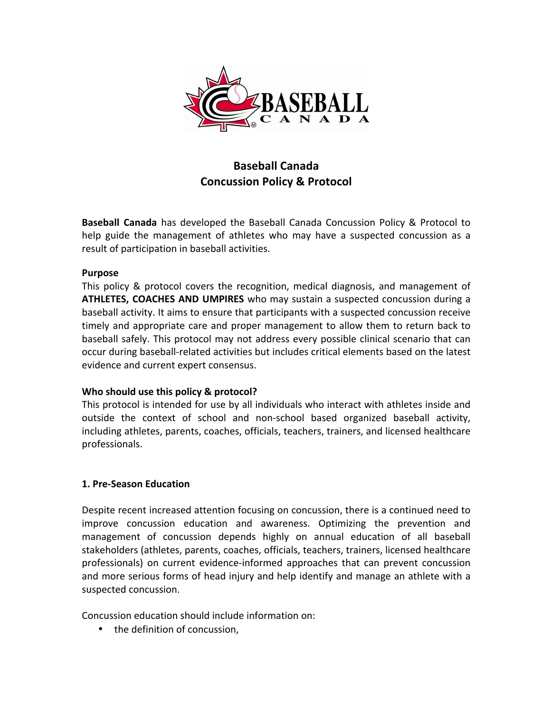

# **Baseball Canada Concussion Policy & Protocol**

**Baseball Canada** has developed the Baseball Canada Concussion Policy & Protocol to help guide the management of athletes who may have a suspected concussion as a result of participation in baseball activities.

#### **Purpose**

This policy & protocol covers the recognition, medical diagnosis, and management of **ATHLETES, COACHES AND UMPIRES** who may sustain a suspected concussion during a baseball activity. It aims to ensure that participants with a suspected concussion receive timely and appropriate care and proper management to allow them to return back to baseball safely. This protocol may not address every possible clinical scenario that can occur during baseball-related activities but includes critical elements based on the latest evidence and current expert consensus.

# **Who should use this policy & protocol?**

This protocol is intended for use by all individuals who interact with athletes inside and outside the context of school and non-school based organized baseball activity, including athletes, parents, coaches, officials, teachers, trainers, and licensed healthcare professionals. 

#### **1. Pre-Season Education**

Despite recent increased attention focusing on concussion, there is a continued need to improve concussion education and awareness. Optimizing the prevention and management of concussion depends highly on annual education of all baseball stakeholders (athletes, parents, coaches, officials, teachers, trainers, licensed healthcare professionals) on current evidence-informed approaches that can prevent concussion and more serious forms of head injury and help identify and manage an athlete with a suspected concussion.

Concussion education should include information on:

• the definition of concussion,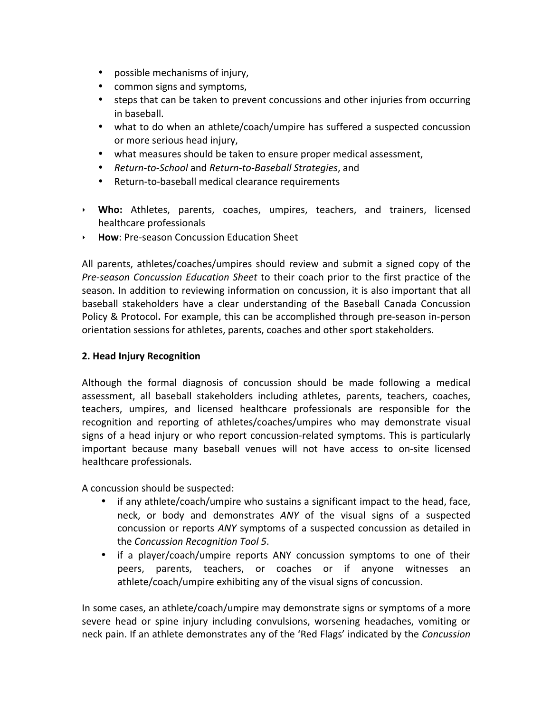- possible mechanisms of injury,
- common signs and symptoms,
- steps that can be taken to prevent concussions and other injuries from occurring in baseball.
- what to do when an athlete/coach/umpire has suffered a suspected concussion or more serious head injury,
- what measures should be taken to ensure proper medical assessment,
- *Return-to-School* and *Return-to-Baseball Strategies*, and
- Return-to-baseball medical clearance requirements
- ▸ Who: Athletes, parents, coaches, umpires, teachers, and trainers, licensed healthcare professionals
- ▶ **How**: Pre-season Concussion Education Sheet

All parents, athletes/coaches/umpires should review and submit a signed copy of the *Pre-season Concussion Education Sheet* to their coach prior to the first practice of the season. In addition to reviewing information on concussion, it is also important that all baseball stakeholders have a clear understanding of the Baseball Canada Concussion Policy & Protocol. For example, this can be accomplished through pre-season in-person orientation sessions for athletes, parents, coaches and other sport stakeholders.

# **2. Head Injury Recognition**

Although the formal diagnosis of concussion should be made following a medical assessment, all baseball stakeholders including athletes, parents, teachers, coaches, teachers, umpires, and licensed healthcare professionals are responsible for the recognition and reporting of athletes/coaches/umpires who may demonstrate visual signs of a head injury or who report concussion-related symptoms. This is particularly important because many baseball venues will not have access to on-site licensed healthcare professionals.

A concussion should be suspected:

- if any athlete/coach/umpire who sustains a significant impact to the head, face, neck, or body and demonstrates ANY of the visual signs of a suspected concussion or reports *ANY* symptoms of a suspected concussion as detailed in the *Concussion Recognition Tool 5*.
- if a player/coach/umpire reports ANY concussion symptoms to one of their peers, parents, teachers, or coaches or if anyone witnesses an athlete/coach/umpire exhibiting any of the visual signs of concussion.

In some cases, an athlete/coach/umpire may demonstrate signs or symptoms of a more severe head or spine injury including convulsions, worsening headaches, vomiting or neck pain. If an athlete demonstrates any of the 'Red Flags' indicated by the *Concussion*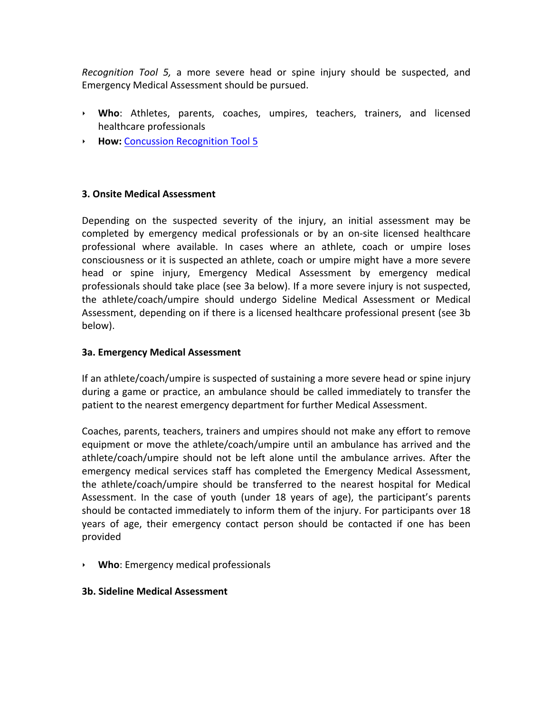*Recognition Tool 5,* a more severe head or spine injury should be suspected, and Emergency Medical Assessment should be pursued.

- ▸ Who: Athletes, parents, coaches, umpires, teachers, trainers, and licensed healthcare professionals
- **► How: Concussion Recognition Tool 5**

## **3. Onsite Medical Assessment**

Depending on the suspected severity of the injury, an initial assessment may be completed by emergency medical professionals or by an on-site licensed healthcare professional where available. In cases where an athlete, coach or umpire loses consciousness or it is suspected an athlete, coach or umpire might have a more severe head or spine injury, Emergency Medical Assessment by emergency medical professionals should take place (see 3a below). If a more severe injury is not suspected, the athlete/coach/umpire should undergo Sideline Medical Assessment or Medical Assessment, depending on if there is a licensed healthcare professional present (see 3b) below).

#### **3a. Emergency Medical Assessment**

If an athlete/coach/umpire is suspected of sustaining a more severe head or spine injury during a game or practice, an ambulance should be called immediately to transfer the patient to the nearest emergency department for further Medical Assessment.

Coaches, parents, teachers, trainers and umpires should not make any effort to remove equipment or move the athlete/coach/umpire until an ambulance has arrived and the athlete/coach/umpire should not be left alone until the ambulance arrives. After the emergency medical services staff has completed the Emergency Medical Assessment, the athlete/coach/umpire should be transferred to the nearest hospital for Medical Assessment. In the case of youth (under 18 years of age), the participant's parents should be contacted immediately to inform them of the injury. For participants over 18 years of age, their emergency contact person should be contacted if one has been provided

‣ **Who**: Emergency medical professionals

#### **3b. Sideline Medical Assessment**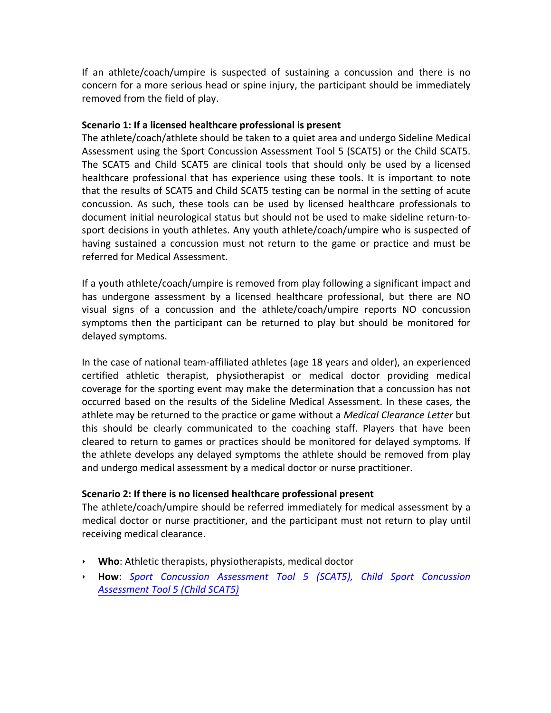If an athlete/coach/umpire is suspected of sustaining a concussion and there is no concern for a more serious head or spine injury, the participant should be immediately removed from the field of play.

#### **Scenario 1: If a licensed healthcare professional is present**

The athlete/coach/athlete should be taken to a quiet area and undergo Sideline Medical Assessment using the Sport Concussion Assessment Tool 5 (SCAT5) or the Child SCAT5. The SCAT5 and Child SCAT5 are clinical tools that should only be used by a licensed healthcare professional that has experience using these tools. It is important to note that the results of SCAT5 and Child SCAT5 testing can be normal in the setting of acute concussion. As such, these tools can be used by licensed healthcare professionals to document initial neurological status but should not be used to make sideline return-tosport decisions in youth athletes. Any youth athlete/coach/umpire who is suspected of having sustained a concussion must not return to the game or practice and must be referred for Medical Assessment.

If a youth athlete/coach/umpire is removed from play following a significant impact and has undergone assessment by a licensed healthcare professional, but there are NO visual signs of a concussion and the athlete/coach/umpire reports NO concussion symptoms then the participant can be returned to play but should be monitored for delayed symptoms.

In the case of national team-affiliated athletes (age 18 years and older), an experienced certified athletic therapist, physiotherapist or medical doctor providing medical coverage for the sporting event may make the determination that a concussion has not occurred based on the results of the Sideline Medical Assessment. In these cases, the athlete may be returned to the practice or game without a *Medical Clearance Letter* but this should be clearly communicated to the coaching staff. Players that have been cleared to return to games or practices should be monitored for delayed symptoms. If the athlete develops any delayed symptoms the athlete should be removed from play and undergo medical assessment by a medical doctor or nurse practitioner.

# **Scenario 2: If there is no licensed healthcare professional present**

The athlete/coach/umpire should be referred immediately for medical assessment by a medical doctor or nurse practitioner, and the participant must not return to play until receiving medical clearance.

- ▸ **Who**: Athletic therapists, physiotherapists, medical doctor
- ‣ **How**: *Sport Concussion Assessment Tool 5 (SCAT5), Child Sport Concussion Assessment Tool 5 (Child SCAT5)*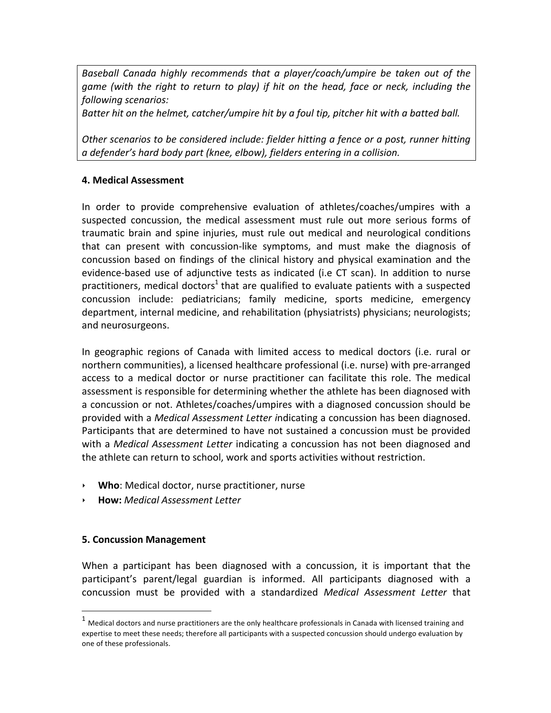Baseball Canada highly recommends that a player/coach/umpire be taken out of the *game* (with the right to return to play) if hit on the head, face or neck, including the *following scenarios:* 

*Batter hit on the helmet, catcher/umpire hit by a foul tip, pitcher hit with a batted ball.* 

Other scenarios to be considered include: fielder hitting a fence or a post, runner hitting *a defender's hard body part (knee, elbow), fielders entering in a collision.*

## **4. Medical Assessment**

In order to provide comprehensive evaluation of athletes/coaches/umpires with a suspected concussion, the medical assessment must rule out more serious forms of traumatic brain and spine injuries, must rule out medical and neurological conditions that can present with concussion-like symptoms, and must make the diagnosis of concussion based on findings of the clinical history and physical examination and the evidence-based use of adjunctive tests as indicated (i.e CT scan). In addition to nurse practitioners, medical doctors<sup>1</sup> that are qualified to evaluate patients with a suspected concussion include: pediatricians; family medicine, sports medicine, emergency department, internal medicine, and rehabilitation (physiatrists) physicians; neurologists; and neurosurgeons.

In geographic regions of Canada with limited access to medical doctors (i.e. rural or northern communities), a licensed healthcare professional (i.e. nurse) with pre-arranged access to a medical doctor or nurse practitioner can facilitate this role. The medical assessment is responsible for determining whether the athlete has been diagnosed with a concussion or not. Athletes/coaches/umpires with a diagnosed concussion should be provided with a *Medical Assessment Letter indicating* a concussion has been diagnosed. Participants that are determined to have not sustained a concussion must be provided with a *Medical Assessment Letter* indicating a concussion has not been diagnosed and the athlete can return to school, work and sports activities without restriction.

- ▸ **Who**: Medical doctor, nurse practitioner, nurse
- ‣ **How:** *Medical Assessment Letter*

#### **5. Concussion Management**

 

When a participant has been diagnosed with a concussion, it is important that the participant's parent/legal guardian is informed. All participants diagnosed with a concussion must be provided with a standardized *Medical Assessment Letter* that

 $1$  Medical doctors and nurse practitioners are the only healthcare professionals in Canada with licensed training and expertise to meet these needs; therefore all participants with a suspected concussion should undergo evaluation by one of these professionals.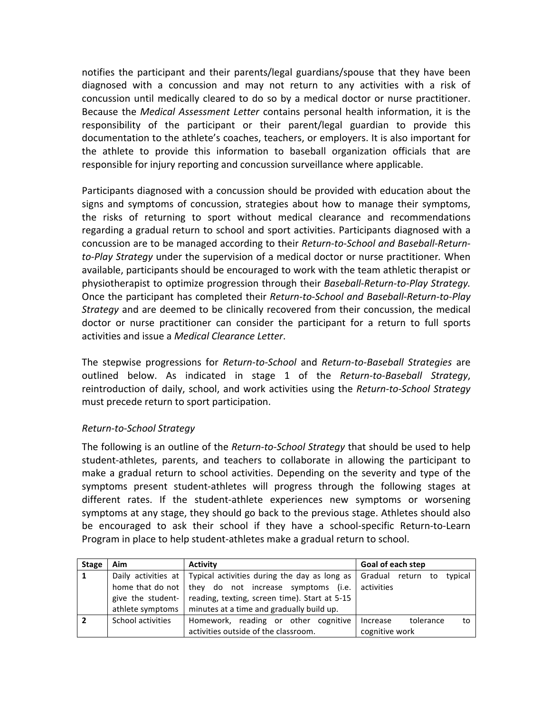notifies the participant and their parents/legal guardians/spouse that they have been diagnosed with a concussion and may not return to any activities with a risk of concussion until medically cleared to do so by a medical doctor or nurse practitioner. Because the *Medical Assessment Letter* contains personal health information, it is the responsibility of the participant or their parent/legal guardian to provide this documentation to the athlete's coaches, teachers, or employers. It is also important for the athlete to provide this information to baseball organization officials that are responsible for injury reporting and concussion surveillance where applicable.

Participants diagnosed with a concussion should be provided with education about the signs and symptoms of concussion, strategies about how to manage their symptoms, the risks of returning to sport without medical clearance and recommendations regarding a gradual return to school and sport activities. Participants diagnosed with a concussion are to be managed according to their *Return-to-School and Baseball-Returnto-Play Strategy* under the supervision of a medical doctor or nurse practitioner. When available, participants should be encouraged to work with the team athletic therapist or physiotherapist to optimize progression through their *Baseball-Return-to-Play Strategy.* Once the participant has completed their *Return-to-School and Baseball-Return-to-Play Strategy* and are deemed to be clinically recovered from their concussion, the medical doctor or nurse practitioner can consider the participant for a return to full sports activities and issue a *Medical Clearance Letter*.

The stepwise progressions for *Return-to-School* and *Return-to-Baseball Strategies* are outlined below. As indicated in stage 1 of the *Return-to-Baseball Strategy*, reintroduction of daily, school, and work activities using the *Return-to-School Strategy* must precede return to sport participation.

#### *Return-to-School Strategy*

The following is an outline of the *Return-to-School Strategy* that should be used to help student-athletes, parents, and teachers to collaborate in allowing the participant to make a gradual return to school activities. Depending on the severity and type of the symptoms present student-athletes will progress through the following stages at different rates. If the student-athlete experiences new symptoms or worsening symptoms at any stage, they should go back to the previous stage. Athletes should also be encouraged to ask their school if they have a school-specific Return-to-Learn Program in place to help student-athletes make a gradual return to school.

| <b>Stage</b> | Aim               | <b>Activity</b>                                                  | Goal of each step            |  |
|--------------|-------------------|------------------------------------------------------------------|------------------------------|--|
| 1            |                   | Daily activities at Typical activities during the day as long as | Gradual return to<br>typical |  |
|              |                   | home that do not $\vert$ they do not increase symptoms (i.e.     | activities                   |  |
|              | give the student- | reading, texting, screen time). Start at 5-15                    |                              |  |
|              | athlete symptoms  | minutes at a time and gradually build up.                        |                              |  |
|              | School activities | Homework, reading or other cognitive                             | tolerance<br>Increase        |  |
|              |                   | activities outside of the classroom.                             | cognitive work               |  |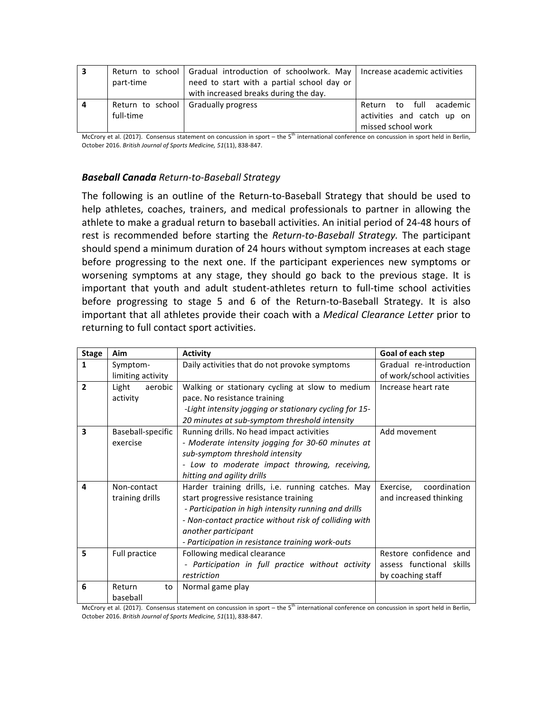| з | part-time | Return to school   Gradual introduction of schoolwork. May   Increase academic activities<br>need to start with a partial school day or<br>with increased breaks during the day. |                                                                             |
|---|-----------|----------------------------------------------------------------------------------------------------------------------------------------------------------------------------------|-----------------------------------------------------------------------------|
| 4 | full-time | Return to school   Gradually progress                                                                                                                                            | Return to full academic<br>activities and catch up on<br>missed school work |

McCrory et al. (2017). Consensus statement on concussion in sport – the 5<sup>th</sup> international conference on concussion in sport held in Berlin, October 2016. British Journal of Sports Medicine, 51(11), 838-847.

## *Baseball Canada Return-to-Baseball Strategy*

The following is an outline of the Return-to-Baseball Strategy that should be used to help athletes, coaches, trainers, and medical professionals to partner in allowing the athlete to make a gradual return to baseball activities. An initial period of 24-48 hours of rest is recommended before starting the *Return-to-Baseball Strategy*. The participant should spend a minimum duration of 24 hours without symptom increases at each stage before progressing to the next one. If the participant experiences new symptoms or worsening symptoms at any stage, they should go back to the previous stage. It is important that youth and adult student-athletes return to full-time school activities before progressing to stage 5 and 6 of the Return-to-Baseball Strategy. It is also important that all athletes provide their coach with a *Medical Clearance Letter* prior to returning to full contact sport activities.

| <b>Stage</b>   | Aim               | <b>Activity</b>                                        | Goal of each step         |
|----------------|-------------------|--------------------------------------------------------|---------------------------|
| $\mathbf{1}$   | Symptom-          | Daily activities that do not provoke symptoms          | Gradual re-introduction   |
|                | limiting activity |                                                        | of work/school activities |
| $\overline{2}$ | aerobic<br>Light  | Walking or stationary cycling at slow to medium        | Increase heart rate       |
|                | activity          | pace. No resistance training                           |                           |
|                |                   | -Light intensity jogging or stationary cycling for 15- |                           |
|                |                   | 20 minutes at sub-symptom threshold intensity          |                           |
| 3              | Baseball-specific | Running drills. No head impact activities              | Add movement              |
|                | exercise          | - Moderate intensity jogging for 30-60 minutes at      |                           |
|                |                   | sub-symptom threshold intensity                        |                           |
|                |                   | - Low to moderate impact throwing, receiving,          |                           |
|                |                   | hitting and agility drills                             |                           |
| 4              | Non-contact       | Harder training drills, i.e. running catches. May      | coordination<br>Exercise, |
|                | training drills   | start progressive resistance training                  | and increased thinking    |
|                |                   | - Participation in high intensity running and drills   |                           |
|                |                   | - Non-contact practice without risk of colliding with  |                           |
|                |                   | another participant                                    |                           |
|                |                   | - Participation in resistance training work-outs       |                           |
| 5              | Full practice     | Following medical clearance                            | Restore confidence and    |
|                |                   | - Participation in full practice without activity      | assess functional skills  |
|                |                   | restriction                                            | by coaching staff         |
| 6              | Return<br>to      | Normal game play                                       |                           |
|                | baseball          |                                                        |                           |

McCrory et al. (2017). Consensus statement on concussion in sport – the  $5<sup>th</sup>$  international conference on concussion in sport held in Berlin, October 2016. *British Journal of Sports Medicine, 51*(11), 838-847.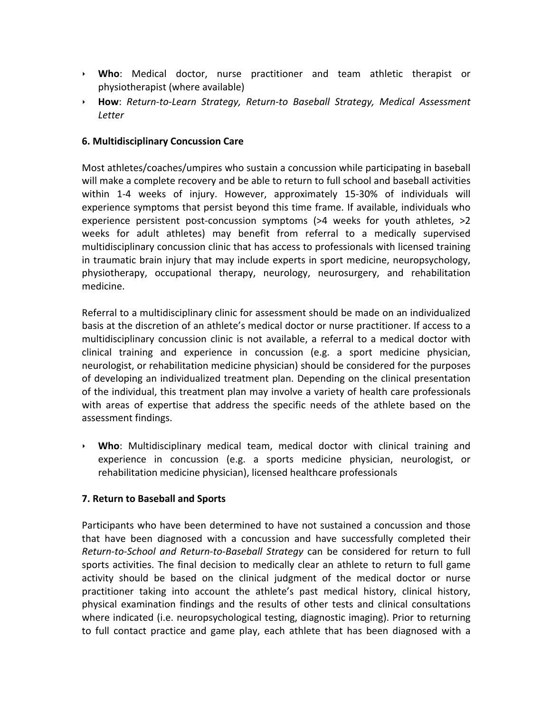- ‣ **Who**: Medical doctor, nurse practitioner and team athletic therapist or physiotherapist (where available)
- ‣ **How**: *Return-to-Learn Strategy, Return-to Baseball Strategy, Medical Assessment Letter*

#### **6. Multidisciplinary Concussion Care**

Most athletes/coaches/umpires who sustain a concussion while participating in baseball will make a complete recovery and be able to return to full school and baseball activities within 1-4 weeks of injury. However, approximately 15-30% of individuals will experience symptoms that persist beyond this time frame. If available, individuals who experience persistent post-concussion symptoms  $(>4$  weeks for youth athletes,  $>2$ weeks for adult athletes) may benefit from referral to a medically supervised multidisciplinary concussion clinic that has access to professionals with licensed training in traumatic brain injury that may include experts in sport medicine, neuropsychology, physiotherapy, occupational therapy, neurology, neurosurgery, and rehabilitation medicine. 

Referral to a multidisciplinary clinic for assessment should be made on an individualized basis at the discretion of an athlete's medical doctor or nurse practitioner. If access to a multidisciplinary concussion clinic is not available, a referral to a medical doctor with clinical training and experience in concussion (e.g. a sport medicine physician, neurologist, or rehabilitation medicine physician) should be considered for the purposes of developing an individualized treatment plan. Depending on the clinical presentation of the individual, this treatment plan may involve a variety of health care professionals with areas of expertise that address the specific needs of the athlete based on the assessment findings.

▸ **Who**: Multidisciplinary medical team, medical doctor with clinical training and experience in concussion (e.g. a sports medicine physician, neurologist, or rehabilitation medicine physician), licensed healthcare professionals

#### **7. Return to Baseball and Sports**

Participants who have been determined to have not sustained a concussion and those that have been diagnosed with a concussion and have successfully completed their *Return-to-School and Return-to-Baseball Strategy* can be considered for return to full sports activities. The final decision to medically clear an athlete to return to full game activity should be based on the clinical judgment of the medical doctor or nurse practitioner taking into account the athlete's past medical history, clinical history, physical examination findings and the results of other tests and clinical consultations where indicated (i.e. neuropsychological testing, diagnostic imaging). Prior to returning to full contact practice and game play, each athlete that has been diagnosed with a